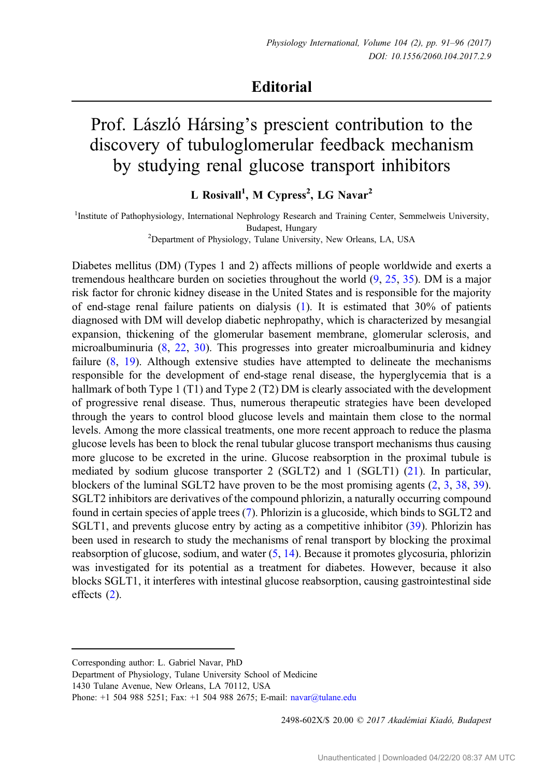## **Editorial**

## Prof. László Hársing's prescient contribution to the discovery of tubuloglomerular feedback mechanism by studying renal glucose transport inhibitors

L Rosivall<sup>1</sup>, M Cypress<sup>2</sup>, LG Navar<sup>2</sup>

<sup>1</sup>Institute of Pathophysiology, International Nephrology Research and Training Center, Semmelweis University, Budapest, Hungary <sup>2</sup> Department of Physiology, Tulane University, New Orleans, LA, USA

Diabetes mellitus (DM) (Types 1 and 2) affects millions of people worldwide and exerts a tremendous healthcare burden on societies throughout the world ([9,](#page-4-0) [25](#page-5-0), [35\)](#page-5-0). DM is a major risk factor for chronic kidney disease in the United States and is responsible for the majority of end-stage renal failure patients on dialysis ([1\)](#page-4-0). It is estimated that 30% of patients diagnosed with DM will develop diabetic nephropathy, which is characterized by mesangial expansion, thickening of the glomerular basement membrane, glomerular sclerosis, and microalbuminuria [\(8](#page-4-0), [22](#page-5-0), [30\)](#page-5-0). This progresses into greater microalbuminuria and kidney failure [\(8](#page-4-0), [19](#page-5-0)). Although extensive studies have attempted to delineate the mechanisms responsible for the development of end-stage renal disease, the hyperglycemia that is a hallmark of both Type 1 (T1) and Type 2 (T2) DM is clearly associated with the development of progressive renal disease. Thus, numerous therapeutic strategies have been developed through the years to control blood glucose levels and maintain them close to the normal levels. Among the more classical treatments, one more recent approach to reduce the plasma glucose levels has been to block the renal tubular glucose transport mechanisms thus causing more glucose to be excreted in the urine. Glucose reabsorption in the proximal tubule is mediated by sodium glucose transporter 2 (SGLT2) and 1 (SGLT1) ([21\)](#page-5-0). In particular, blockers of the luminal SGLT2 have proven to be the most promising agents [\(2](#page-4-0), [3,](#page-4-0) [38,](#page-5-0) [39](#page-5-0)). SGLT2 inhibitors are derivatives of the compound phlorizin, a naturally occurring compound found in certain species of apple trees [\(7](#page-4-0)). Phlorizin is a glucoside, which binds to SGLT2 and SGLT1, and prevents glucose entry by acting as a competitive inhibitor ([39\)](#page-5-0). Phlorizin has been used in research to study the mechanisms of renal transport by blocking the proximal reabsorption of glucose, sodium, and water [\(5](#page-4-0), [14](#page-4-0)). Because it promotes glycosuria, phlorizin was investigated for its potential as a treatment for diabetes. However, because it also blocks SGLT1, it interferes with intestinal glucose reabsorption, causing gastrointestinal side effects  $(2)$  $(2)$ .

Department of Physiology, Tulane University School of Medicine

1430 Tulane Avenue, New Orleans, LA 70112, USA

2498-602X/\$ 20.00 C 2017 Akadémiai Kiadó, Budapest

Corresponding author: L. Gabriel Navar, PhD

Phone: +1 504 988 5251; Fax: +1 504 988 2675; E-mail: [navar@tulane.edu](mailto:navar@tulane.edu)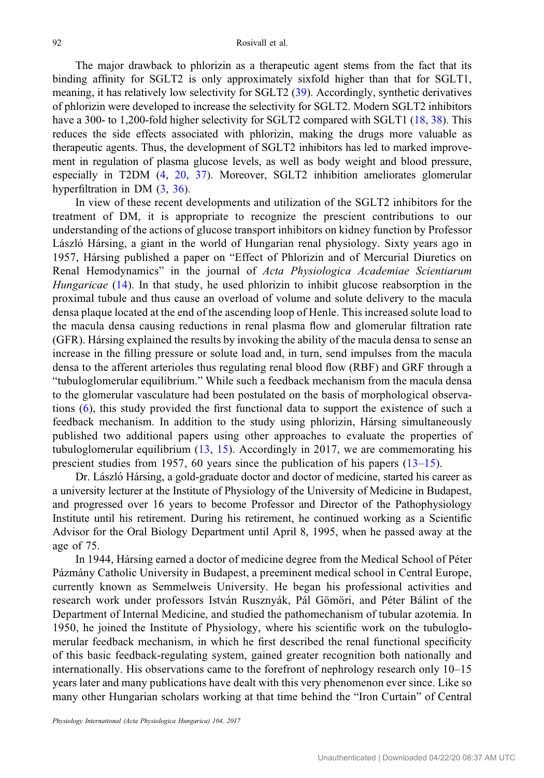The major drawback to phlorizin as a therapeutic agent stems from the fact that its binding affinity for SGLT2 is only approximately sixfold higher than that for SGLT1, meaning, it has relatively low selectivity for SGLT2 ([39](#page-5-0)). Accordingly, synthetic derivatives of phlorizin were developed to increase the selectivity for SGLT2. Modern SGLT2 inhibitors have a 300- to 1,200-fold higher selectivity for SGLT2 compared with SGLT1 [\(18](#page-5-0), [38](#page-5-0)). This reduces the side effects associated with phlorizin, making the drugs more valuable as therapeutic agents. Thus, the development of SGLT2 inhibitors has led to marked improvement in regulation of plasma glucose levels, as well as body weight and blood pressure, especially in T2DM [\(4](#page-4-0), [20,](#page-5-0) [37](#page-5-0)). Moreover, SGLT2 inhibition ameliorates glomerular hyperfiltration in DM [\(3](#page-4-0), [36](#page-5-0)).

In view of these recent developments and utilization of the SGLT2 inhibitors for the treatment of DM, it is appropriate to recognize the prescient contributions to our understanding of the actions of glucose transport inhibitors on kidney function by Professor László Hársing, a giant in the world of Hungarian renal physiology. Sixty years ago in 1957, Hársing published a paper on "Effect of Phlorizin and of Mercurial Diuretics on Renal Hemodynamics" in the journal of Acta Physiologica Academiae Scientiarum Hungaricae ([14\)](#page-4-0). In that study, he used phlorizin to inhibit glucose reabsorption in the proximal tubule and thus cause an overload of volume and solute delivery to the macula densa plaque located at the end of the ascending loop of Henle. This increased solute load to the macula densa causing reductions in renal plasma flow and glomerular filtration rate (GFR). Hársing explained the results by invoking the ability of the macula densa to sense an increase in the filling pressure or solute load and, in turn, send impulses from the macula densa to the afferent arterioles thus regulating renal blood flow (RBF) and GRF through a "tubuloglomerular equilibrium." While such a feedback mechanism from the macula densa to the glomerular vasculature had been postulated on the basis of morphological observations ([6\)](#page-4-0), this study provided the first functional data to support the existence of such a feedback mechanism. In addition to the study using phlorizin, Hársing simultaneously published two additional papers using other approaches to evaluate the properties of tubuloglomerular equilibrium ([13,](#page-4-0) [15](#page-5-0)). Accordingly in 2017, we are commemorating his prescient studies from 1957, 60 years since the publication of his papers (13–[15\)](#page-4-0).

Dr. László Hársing, a gold-graduate doctor and doctor of medicine, started his career as a university lecturer at the Institute of Physiology of the University of Medicine in Budapest, and progressed over 16 years to become Professor and Director of the Pathophysiology Institute until his retirement. During his retirement, he continued working as a Scientific Advisor for the Oral Biology Department until April 8, 1995, when he passed away at the age of 75.

In 1944, Hársing earned a doctor of medicine degree from the Medical School of Péter Pázmány Catholic University in Budapest, a preeminent medical school in Central Europe, currently known as Semmelweis University. He began his professional activities and research work under professors István Rusznyák, Pál Gömöri, and Péter Bálint of the Department of Internal Medicine, and studied the pathomechanism of tubular azotemia. In 1950, he joined the Institute of Physiology, where his scientific work on the tubuloglomerular feedback mechanism, in which he first described the renal functional specificity of this basic feedback-regulating system, gained greater recognition both nationally and internationally. His observations came to the forefront of nephrology research only 10–15 years later and many publications have dealt with this very phenomenon ever since. Like so many other Hungarian scholars working at that time behind the "Iron Curtain" of Central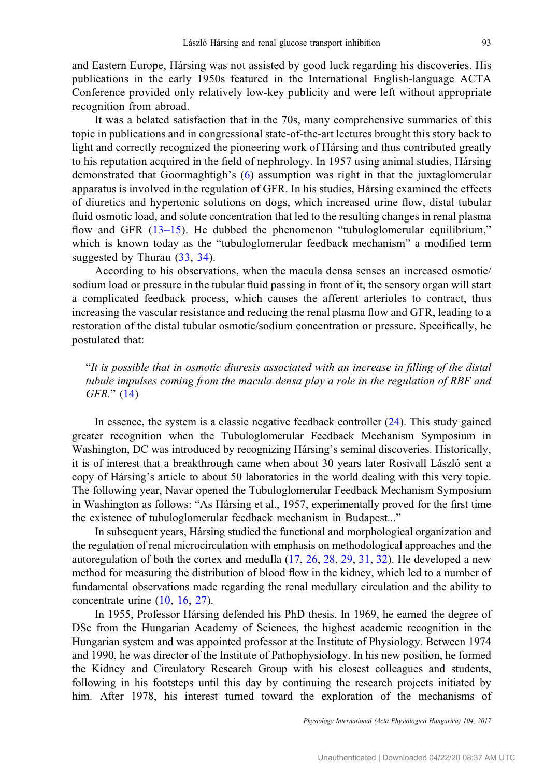and Eastern Europe, Hársing was not assisted by good luck regarding his discoveries. His publications in the early 1950s featured in the International English-language ACTA Conference provided only relatively low-key publicity and were left without appropriate recognition from abroad.

It was a belated satisfaction that in the 70s, many comprehensive summaries of this topic in publications and in congressional state-of-the-art lectures brought this story back to light and correctly recognized the pioneering work of Hársing and thus contributed greatly to his reputation acquired in the field of nephrology. In 1957 using animal studies, Hársing demonstrated that Goormaghtigh's ([6](#page-4-0)) assumption was right in that the juxtaglomerular apparatus is involved in the regulation of GFR. In his studies, Hársing examined the effects of diuretics and hypertonic solutions on dogs, which increased urine flow, distal tubular fluid osmotic load, and solute concentration that led to the resulting changes in renal plasma flow and GFR  $(13-15)$  $(13-15)$ . He dubbed the phenomenon "tubuloglomerular equilibrium," which is known today as the "tubuloglomerular feedback mechanism" a modified term suggested by Thurau  $(33, 34)$  $(33, 34)$  $(33, 34)$ .

According to his observations, when the macula densa senses an increased osmotic/ sodium load or pressure in the tubular fluid passing in front of it, the sensory organ will start a complicated feedback process, which causes the afferent arterioles to contract, thus increasing the vascular resistance and reducing the renal plasma flow and GFR, leading to a restoration of the distal tubular osmotic/sodium concentration or pressure. Specifically, he postulated that:

"It is possible that in osmotic diuresis associated with an increase in filling of the distal tubule impulses coming from the macula densa play a role in the regulation of RBF and GFR." ([14\)](#page-4-0)

In essence, the system is a classic negative feedback controller [\(24](#page-5-0)). This study gained greater recognition when the Tubuloglomerular Feedback Mechanism Symposium in Washington, DC was introduced by recognizing Hársing's seminal discoveries. Historically, it is of interest that a breakthrough came when about 30 years later Rosivall László sent a copy of Hársing's article to about 50 laboratories in the world dealing with this very topic. The following year, Navar opened the Tubuloglomerular Feedback Mechanism Symposium in Washington as follows: "As Hársing et al., 1957, experimentally proved for the first time the existence of tubuloglomerular feedback mechanism in Budapest..."

In subsequent years, Hársing studied the functional and morphological organization and the regulation of renal microcirculation with emphasis on methodological approaches and the autoregulation of both the cortex and medulla ([17,](#page-5-0) [26,](#page-5-0) [28](#page-5-0), [29,](#page-5-0) [31](#page-5-0), [32](#page-5-0)). He developed a new method for measuring the distribution of blood flow in the kidney, which led to a number of fundamental observations made regarding the renal medullary circulation and the ability to concentrate urine [\(10](#page-4-0), [16](#page-5-0), [27](#page-5-0)).

In 1955, Professor Hársing defended his PhD thesis. In 1969, he earned the degree of DSc from the Hungarian Academy of Sciences, the highest academic recognition in the Hungarian system and was appointed professor at the Institute of Physiology. Between 1974 and 1990, he was director of the Institute of Pathophysiology. In his new position, he formed the Kidney and Circulatory Research Group with his closest colleagues and students, following in his footsteps until this day by continuing the research projects initiated by him. After 1978, his interest turned toward the exploration of the mechanisms of

Physiology International (Acta Physiologica Hungarica) 104, 2017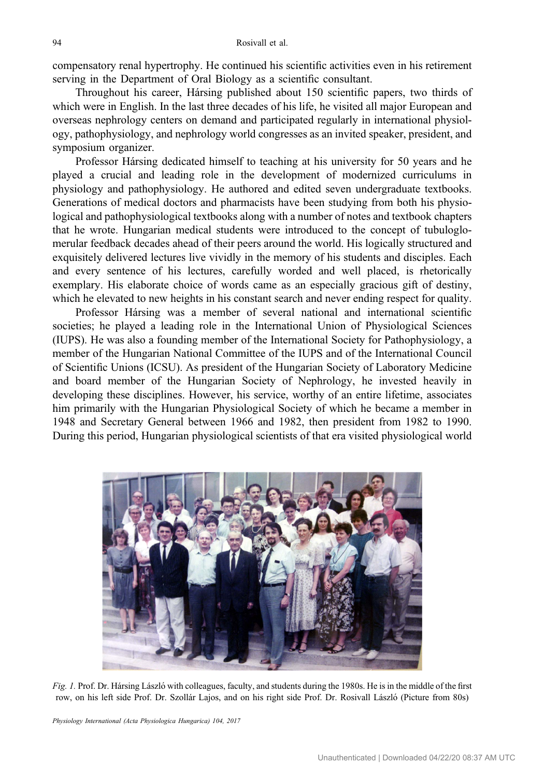<span id="page-3-0"></span>compensatory renal hypertrophy. He continued his scientific activities even in his retirement serving in the Department of Oral Biology as a scientific consultant.

Throughout his career, Hársing published about 150 scientific papers, two thirds of which were in English. In the last three decades of his life, he visited all major European and overseas nephrology centers on demand and participated regularly in international physiology, pathophysiology, and nephrology world congresses as an invited speaker, president, and symposium organizer.

Professor Hársing dedicated himself to teaching at his university for 50 years and he played a crucial and leading role in the development of modernized curriculums in physiology and pathophysiology. He authored and edited seven undergraduate textbooks. Generations of medical doctors and pharmacists have been studying from both his physiological and pathophysiological textbooks along with a number of notes and textbook chapters that he wrote. Hungarian medical students were introduced to the concept of tubuloglomerular feedback decades ahead of their peers around the world. His logically structured and exquisitely delivered lectures live vividly in the memory of his students and disciples. Each and every sentence of his lectures, carefully worded and well placed, is rhetorically exemplary. His elaborate choice of words came as an especially gracious gift of destiny, which he elevated to new heights in his constant search and never ending respect for quality.

Professor Hársing was a member of several national and international scientific societies; he played a leading role in the International Union of Physiological Sciences (IUPS). He was also a founding member of the International Society for Pathophysiology, a member of the Hungarian National Committee of the IUPS and of the International Council of Scientific Unions (ICSU). As president of the Hungarian Society of Laboratory Medicine and board member of the Hungarian Society of Nephrology, he invested heavily in developing these disciplines. However, his service, worthy of an entire lifetime, associates him primarily with the Hungarian Physiological Society of which he became a member in 1948 and Secretary General between 1966 and 1982, then president from 1982 to 1990. During this period, Hungarian physiological scientists of that era visited physiological world



Fig. 1. Prof. Dr. Hársing László with colleagues, faculty, and students during the 1980s. He is in the middle of the first row, on his left side Prof. Dr. Szollár Lajos, and on his right side Prof. Dr. Rosivall László (Picture from 80s)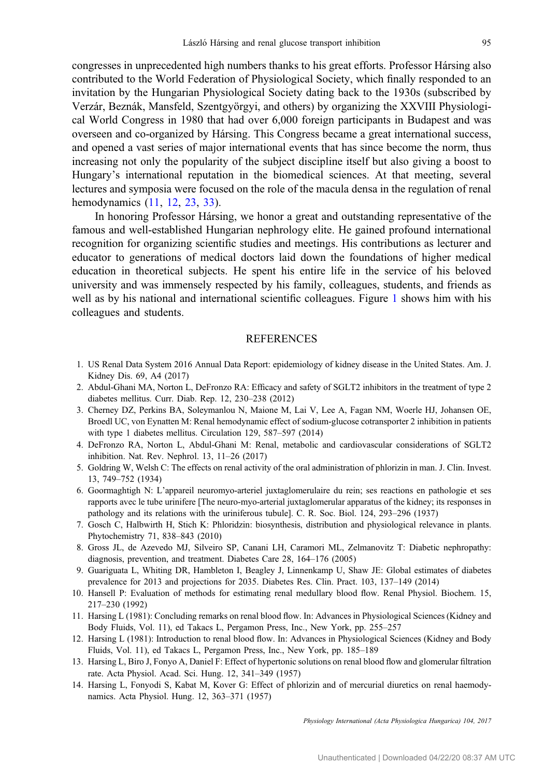<span id="page-4-0"></span>congresses in unprecedented high numbers thanks to his great efforts. Professor Hársing also contributed to the World Federation of Physiological Society, which finally responded to an invitation by the Hungarian Physiological Society dating back to the 1930s (subscribed by Verzár, Beznák, Mansfeld, Szentgyörgyi, and others) by organizing the XXVIII Physiological World Congress in 1980 that had over 6,000 foreign participants in Budapest and was overseen and co-organized by Hársing. This Congress became a great international success, and opened a vast series of major international events that has since become the norm, thus increasing not only the popularity of the subject discipline itself but also giving a boost to Hungary's international reputation in the biomedical sciences. At that meeting, several lectures and symposia were focused on the role of the macula densa in the regulation of renal hemodynamics (11, 12, [23,](#page-5-0) [33\)](#page-5-0).

In honoring Professor Hársing, we honor a great and outstanding representative of the famous and well-established Hungarian nephrology elite. He gained profound international recognition for organizing scientific studies and meetings. His contributions as lecturer and educator to generations of medical doctors laid down the foundations of higher medical education in theoretical subjects. He spent his entire life in the service of his beloved university and was immensely respected by his family, colleagues, students, and friends as well as by his national and international scientific colleagues. Figure [1](#page-3-0) shows him with his colleagues and students.

## REFERENCES

- 1. US Renal Data System 2016 Annual Data Report: epidemiology of kidney disease in the United States. Am. J. Kidney Dis. 69, A4 (2017)
- 2. Abdul-Ghani MA, Norton L, DeFronzo RA: Efficacy and safety of SGLT2 inhibitors in the treatment of type 2 diabetes mellitus. Curr. Diab. Rep. 12, 230–238 (2012)
- 3. Cherney DZ, Perkins BA, Soleymanlou N, Maione M, Lai V, Lee A, Fagan NM, Woerle HJ, Johansen OE, Broedl UC, von Eynatten M: Renal hemodynamic effect of sodium-glucose cotransporter 2 inhibition in patients with type 1 diabetes mellitus. Circulation 129, 587–597 (2014)
- 4. DeFronzo RA, Norton L, Abdul-Ghani M: Renal, metabolic and cardiovascular considerations of SGLT2 inhibition. Nat. Rev. Nephrol. 13, 11–26 (2017)
- 5. Goldring W, Welsh C: The effects on renal activity of the oral administration of phlorizin in man. J. Clin. Invest. 13, 749–752 (1934)
- 6. Goormaghtigh N: L'appareil neuromyo-arteriel juxtaglomerulaire du rein; ses reactions en pathologie et ses rapports avec le tube urinifere [The neuro-myo-arterial juxtaglomerular apparatus of the kidney; its responses in pathology and its relations with the uriniferous tubule]. C. R. Soc. Biol. 124, 293–296 (1937)
- 7. Gosch C, Halbwirth H, Stich K: Phloridzin: biosynthesis, distribution and physiological relevance in plants. Phytochemistry 71, 838–843 (2010)
- 8. Gross JL, de Azevedo MJ, Silveiro SP, Canani LH, Caramori ML, Zelmanovitz T: Diabetic nephropathy: diagnosis, prevention, and treatment. Diabetes Care 28, 164–176 (2005)
- 9. Guariguata L, Whiting DR, Hambleton I, Beagley J, Linnenkamp U, Shaw JE: Global estimates of diabetes prevalence for 2013 and projections for 2035. Diabetes Res. Clin. Pract. 103, 137–149 (2014)
- 10. Hansell P: Evaluation of methods for estimating renal medullary blood flow. Renal Physiol. Biochem. 15, 217–230 (1992)
- 11. Harsing L (1981): Concluding remarks on renal blood flow. In: Advances in Physiological Sciences (Kidney and Body Fluids, Vol. 11), ed Takacs L, Pergamon Press, Inc., New York, pp. 255–257
- 12. Harsing L (1981): Introduction to renal blood flow. In: Advances in Physiological Sciences (Kidney and Body Fluids, Vol. 11), ed Takacs L, Pergamon Press, Inc., New York, pp. 185–189
- 13. Harsing L, Biro J, Fonyo A, Daniel F: Effect of hypertonic solutions on renal blood flow and glomerular filtration rate. Acta Physiol. Acad. Sci. Hung. 12, 341–349 (1957)
- 14. Harsing L, Fonyodi S, Kabat M, Kover G: Effect of phlorizin and of mercurial diuretics on renal haemodynamics. Acta Physiol. Hung. 12, 363–371 (1957)

Physiology International (Acta Physiologica Hungarica) 104, 2017